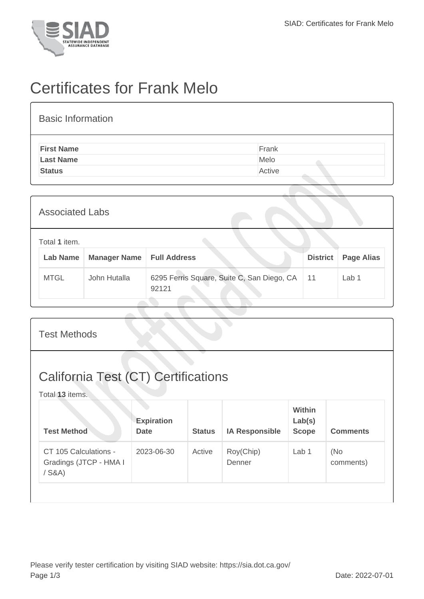

## Certificates for Frank Melo

| <b>Basic Information</b> |        |
|--------------------------|--------|
| <b>First Name</b>        | Frank  |
| <b>Last Name</b>         | Melo   |
| <b>Status</b>            | Active |
|                          |        |

| <b>Associated Labs</b>           |                     |                                                     |                 |                   |  |  |
|----------------------------------|---------------------|-----------------------------------------------------|-----------------|-------------------|--|--|
| Total 1 item.<br><b>Lab Name</b> | <b>Manager Name</b> | <b>Full Address</b>                                 | <b>District</b> | <b>Page Alias</b> |  |  |
| <b>MTGL</b>                      | John Hutalla        | 6295 Ferris Square, Suite C, San Diego, CA<br>92121 | 11              | Lab 1             |  |  |

| <b>Test Methods</b>                                           |                                  |               |                       |                                         |                  |  |  |
|---------------------------------------------------------------|----------------------------------|---------------|-----------------------|-----------------------------------------|------------------|--|--|
| <b>California Test (CT) Certifications</b><br>Total 13 items. |                                  |               |                       |                                         |                  |  |  |
| <b>Test Method</b>                                            | <b>Expiration</b><br><b>Date</b> | <b>Status</b> | <b>IA Responsible</b> | <b>Within</b><br>Lab(s)<br><b>Scope</b> | <b>Comments</b>  |  |  |
| CT 105 Calculations -<br>Gradings (JTCP - HMA I<br>$/$ S&A)   | 2023-06-30                       | Active        | Roy(Chip)<br>Denner   | Lab 1                                   | (No<br>comments) |  |  |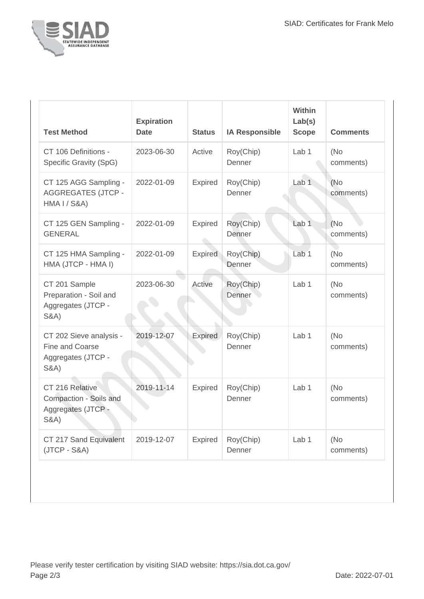

| <b>Test Method</b>                                                                  | <b>Expiration</b><br><b>Date</b> | <b>Status</b>  | <b>IA Responsible</b> | Within<br>Lab(s)<br><b>Scope</b> | <b>Comments</b>                |
|-------------------------------------------------------------------------------------|----------------------------------|----------------|-----------------------|----------------------------------|--------------------------------|
| CT 106 Definitions -<br>Specific Gravity (SpG)                                      | 2023-06-30                       | Active         | Roy(Chip)<br>Denner   | Lab <sub>1</sub>                 | (No<br>comments)               |
| CT 125 AGG Sampling -<br><b>AGGREGATES (JTCP -</b><br><b>HMA I / S&amp;A)</b>       | 2022-01-09                       | <b>Expired</b> | Roy(Chip)<br>Denner   | Lab <sub>1</sub>                 | (No<br>comments)               |
| CT 125 GEN Sampling -<br><b>GENERAL</b>                                             | 2022-01-09                       | Expired        | Roy(Chip)<br>Denner   | Lab <sub>1</sub>                 | (N <sub>o</sub> )<br>comments) |
| CT 125 HMA Sampling -<br>HMA (JTCP - HMA I)                                         | 2022-01-09                       | <b>Expired</b> | Roy(Chip)<br>Denner   | Lab <sub>1</sub>                 | (No<br>comments)               |
| CT 201 Sample<br>Preparation - Soil and<br>Aggregates (JTCP -<br><b>S&amp;A)</b>    | 2023-06-30                       | Active         | Roy(Chip)<br>Denner   | Lab <sub>1</sub>                 | (No<br>comments)               |
| CT 202 Sieve analysis -<br>Fine and Coarse<br>Aggregates (JTCP -<br><b>S&amp;A)</b> | 2019-12-07                       | <b>Expired</b> | Roy(Chip)<br>Denner   | Lab <sub>1</sub>                 | (No<br>comments)               |
| CT 216 Relative<br>Compaction - Soils and<br>Aggregates (JTCP -<br><b>S&amp;A)</b>  | 2019-11-14                       | <b>Expired</b> | Roy(Chip)<br>Denner   | Lab <sub>1</sub>                 | (No<br>comments)               |
| CT 217 Sand Equivalent<br>$(JTCP - S&A)$                                            | 2019-12-07                       | <b>Expired</b> | Roy(Chip)<br>Denner   | Lab <sub>1</sub>                 | (No<br>comments)               |